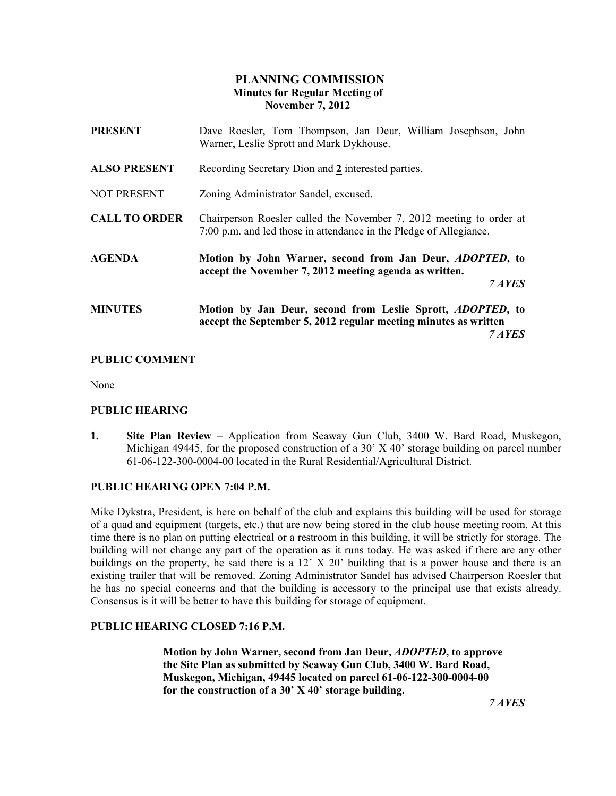# PLANNING COMMISSION Minutes for Regular Meeting of November 7, 2012

| <b>PRESENT</b>       | Dave Roesler, Tom Thompson, Jan Deur, William Josephson, John<br>Warner, Leslie Sprott and Mark Dykhouse.                                       |
|----------------------|-------------------------------------------------------------------------------------------------------------------------------------------------|
| <b>ALSO PRESENT</b>  | Recording Secretary Dion and 2 interested parties.                                                                                              |
| <b>NOT PRESENT</b>   | Zoning Administrator Sandel, excused.                                                                                                           |
| <b>CALL TO ORDER</b> | Chairperson Roesler called the November 7, 2012 meeting to order at<br>7:00 p.m. and led those in attendance in the Pledge of Allegiance.       |
| <b>AGENDA</b>        | Motion by John Warner, second from Jan Deur, <i>ADOPTED</i> , to<br>accept the November 7, 2012 meeting agenda as written.<br>7 AYES            |
| <b>MINUTES</b>       | Motion by Jan Deur, second from Leslie Sprott, <i>ADOPTED</i> , to<br>accept the September 5, 2012 regular meeting minutes as written<br>7 AYES |

# PUBLIC COMMENT

None

### PUBLIC HEARING

1. Site Plan Review – Application from Seaway Gun Club, 3400 W. Bard Road, Muskegon, Michigan 49445, for the proposed construction of a 30' X 40' storage building on parcel number 61-06-122-300-0004-00 located in the Rural Residential/Agricultural District.

### PUBLIC HEARING OPEN 7:04 P.M.

Mike Dykstra, President, is here on behalf of the club and explains this building will be used for storage of a quad and equipment (targets, etc.) that are now being stored in the club house meeting room. At this time there is no plan on putting electrical or a restroom in this building, it will be strictly for storage. The building will not change any part of the operation as it runs today. He was asked if there are any other buildings on the property, he said there is a 12' X 20' building that is a power house and there is an existing trailer that will be removed. Zoning Administrator Sandel has advised Chairperson Roesler that he has no special concerns and that the building is accessory to the principal use that exists already. Consensus is it will be better to have this building for storage of equipment.

### PUBLIC HEARING CLOSED 7:16 P.M.

 Motion by John Warner, second from Jan Deur, ADOPTED, to approve the Site Plan as submitted by Seaway Gun Club, 3400 W. Bard Road, Muskegon, Michigan, 49445 located on parcel 61-06-122-300-0004-00 for the construction of a 30' X 40' storage building.

7 AYES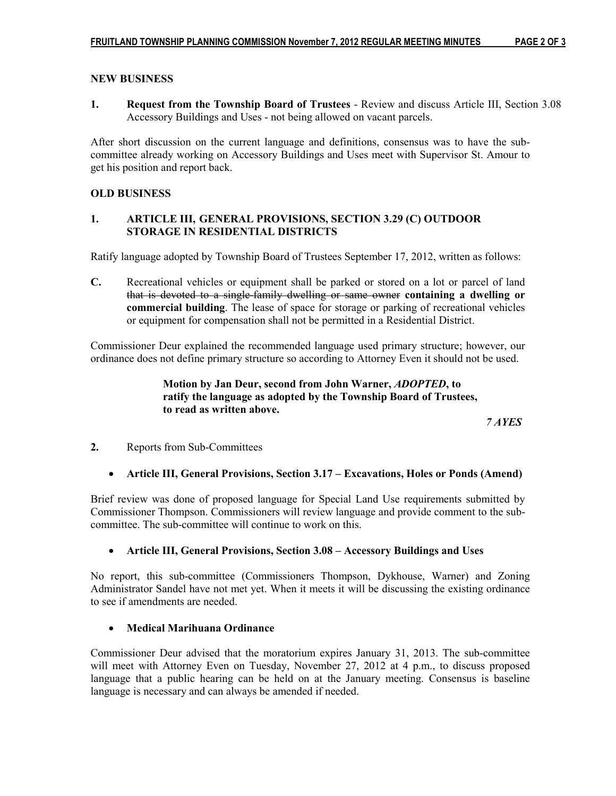## NEW BUSINESS

1. Request from the Township Board of Trustees - Review and discuss Article III, Section 3.08 Accessory Buildings and Uses - not being allowed on vacant parcels.

After short discussion on the current language and definitions, consensus was to have the subcommittee already working on Accessory Buildings and Uses meet with Supervisor St. Amour to get his position and report back.

## OLD BUSINESS

# 1. ARTICLE III, GENERAL PROVISIONS, SECTION 3.29 (C) OUTDOOR STORAGE IN RESIDENTIAL DISTRICTS

Ratify language adopted by Township Board of Trustees September 17, 2012, written as follows:

C. Recreational vehicles or equipment shall be parked or stored on a lot or parcel of land that is devoted to a single-family dwelling or same owner containing a dwelling or commercial building. The lease of space for storage or parking of recreational vehicles or equipment for compensation shall not be permitted in a Residential District.

Commissioner Deur explained the recommended language used primary structure; however, our ordinance does not define primary structure so according to Attorney Even it should not be used.

> Motion by Jan Deur, second from John Warner, ADOPTED, to ratify the language as adopted by the Township Board of Trustees, to read as written above.

7 AYES

- 2. Reports from Sub-Committees
	- Article III, General Provisions, Section 3.17 Excavations, Holes or Ponds (Amend)

Brief review was done of proposed language for Special Land Use requirements submitted by Commissioner Thompson. Commissioners will review language and provide comment to the subcommittee. The sub-committee will continue to work on this.

### • Article III, General Provisions, Section 3.08 – Accessory Buildings and Uses

No report, this sub-committee (Commissioners Thompson, Dykhouse, Warner) and Zoning Administrator Sandel have not met yet. When it meets it will be discussing the existing ordinance to see if amendments are needed.

### • Medical Marihuana Ordinance

Commissioner Deur advised that the moratorium expires January 31, 2013. The sub-committee will meet with Attorney Even on Tuesday, November 27, 2012 at 4 p.m., to discuss proposed language that a public hearing can be held on at the January meeting. Consensus is baseline language is necessary and can always be amended if needed.